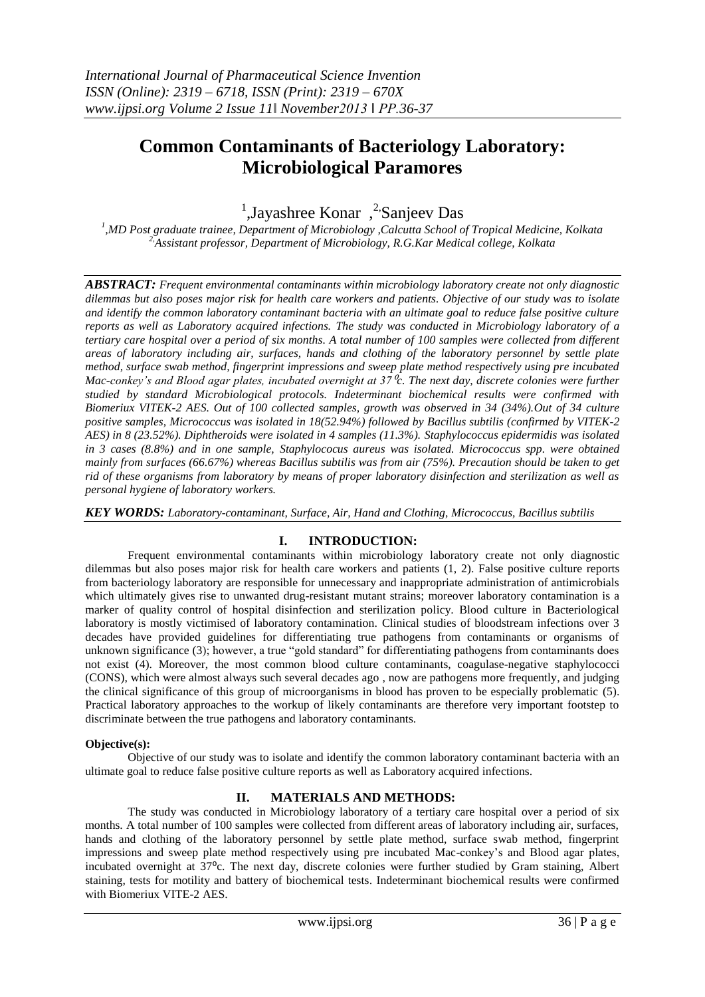# **Common Contaminants of Bacteriology Laboratory: Microbiological Paramores**

<sup>1</sup>,Jayashree Konar,<sup>2</sup>Sanjeev Das

*1 ,MD Post graduate trainee, Department of Microbiology ,Calcutta School of Tropical Medicine, Kolkata 2,Assistant professor, Department of Microbiology, R.G.Kar Medical college, Kolkata*

*ABSTRACT: Frequent environmental contaminants within microbiology laboratory create not only diagnostic dilemmas but also poses major risk for health care workers and patients. Objective of our study was to isolate and identify the common laboratory contaminant bacteria with an ultimate goal to reduce false positive culture reports as well as Laboratory acquired infections. The study was conducted in Microbiology laboratory of a tertiary care hospital over a period of six months. A total number of 100 samples were collected from different areas of laboratory including air, surfaces, hands and clothing of the laboratory personnel by settle plate method, surface swab method, fingerprint impressions and sweep plate method respectively using pre incubated Mac-conkey's and Blood agar plates, incubated overnight at 37*<sup>⁰</sup>*c. The next day, discrete colonies were further studied by standard Microbiological protocols. Indeterminant biochemical results were confirmed with Biomeriux VITEK-2 AES. Out of 100 collected samples, growth was observed in 34 (34%).Out of 34 culture positive samples, Micrococcus was isolated in 18(52.94%) followed by Bacillus subtilis (confirmed by VITEK-2 AES) in 8 (23.52%). Diphtheroids were isolated in 4 samples (11.3%). Staphylococcus epidermidis was isolated in 3 cases (8.8%) and in one sample, Staphylococus aureus was isolated. Micrococcus spp. were obtained mainly from surfaces (66.67%) whereas Bacillus subtilis was from air (75%). Precaution should be taken to get rid of these organisms from laboratory by means of proper laboratory disinfection and sterilization as well as personal hygiene of laboratory workers.*

*KEY WORDS: Laboratory-contaminant, Surface, Air, Hand and Clothing, Micrococcus, Bacillus subtilis*

# **I. INTRODUCTION:**

Frequent environmental contaminants within microbiology laboratory create not only diagnostic dilemmas but also poses major risk for health care workers and patients (1, 2). False positive culture reports from bacteriology laboratory are responsible for unnecessary and inappropriate administration of antimicrobials which ultimately gives rise to unwanted drug-resistant mutant strains; moreover laboratory contamination is a marker of quality control of hospital disinfection and sterilization policy. Blood culture in Bacteriological laboratory is mostly victimised of laboratory contamination. Clinical studies of bloodstream infections over 3 decades have provided guidelines for differentiating true pathogens from contaminants or organisms of unknown significance (3); however, a true "gold standard" for differentiating pathogens from contaminants does not exist (4). Moreover, the most common blood culture contaminants, coagulase-negative staphylococci (CONS), which were almost always such several decades ago , now are pathogens more frequently, and judging the clinical significance of this group of microorganisms in blood has proven to be especially problematic (5). Practical laboratory approaches to the workup of likely contaminants are therefore very important footstep to discriminate between the true pathogens and laboratory contaminants.

#### **Objective(s):**

Objective of our study was to isolate and identify the common laboratory contaminant bacteria with an ultimate goal to reduce false positive culture reports as well as Laboratory acquired infections.

## **II. MATERIALS AND METHODS:**

The study was conducted in Microbiology laboratory of a tertiary care hospital over a period of six months. A total number of 100 samples were collected from different areas of laboratory including air, surfaces, hands and clothing of the laboratory personnel by settle plate method, surface swab method, fingerprint impressions and sweep plate method respectively using pre incubated Mac-conkey's and Blood agar plates, incubated overnight at 37<sup>o</sup>c. The next day, discrete colonies were further studied by Gram staining, Albert staining, tests for motility and battery of biochemical tests. Indeterminant biochemical results were confirmed with Biomeriux VITE-2 AES.